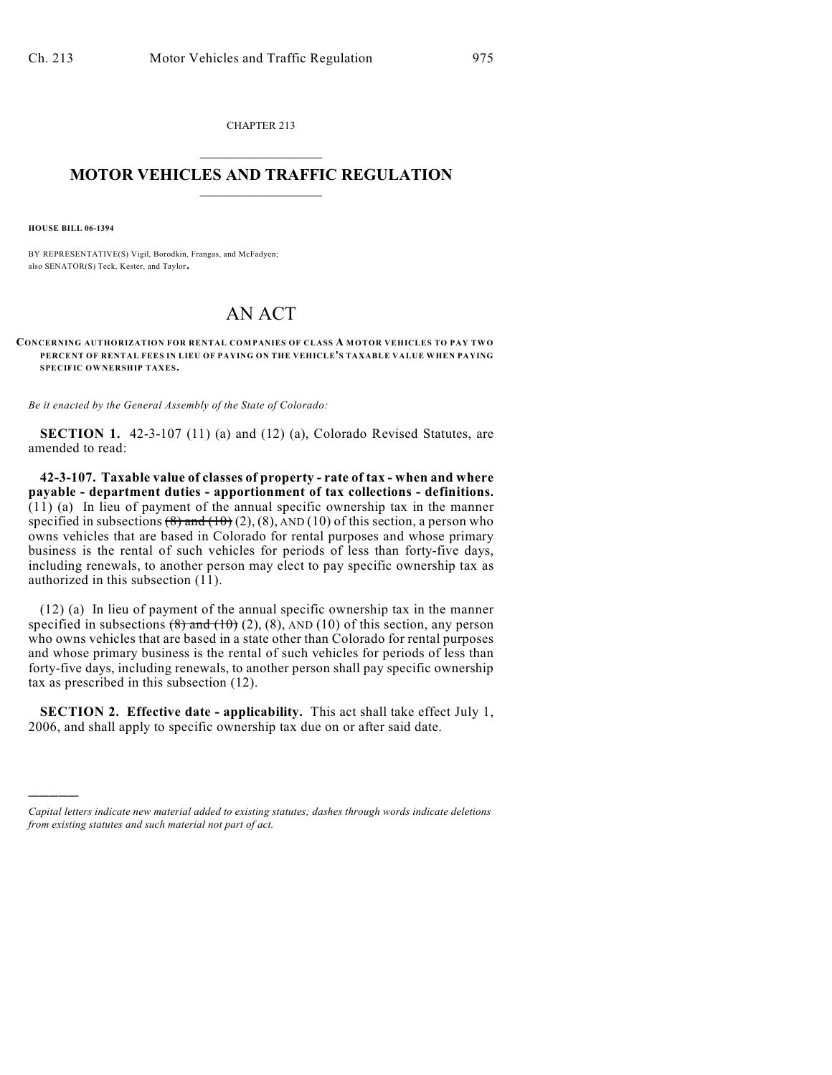CHAPTER 213  $\mathcal{L}_\text{max}$  . The set of the set of the set of the set of the set of the set of the set of the set of the set of the set of the set of the set of the set of the set of the set of the set of the set of the set of the set

## **MOTOR VEHICLES AND TRAFFIC REGULATION**  $\frac{1}{2}$  ,  $\frac{1}{2}$  ,  $\frac{1}{2}$  ,  $\frac{1}{2}$  ,  $\frac{1}{2}$  ,  $\frac{1}{2}$  ,  $\frac{1}{2}$  ,  $\frac{1}{2}$

**HOUSE BILL 06-1394**

)))))

BY REPRESENTATIVE(S) Vigil, Borodkin, Frangas, and McFadyen; also SENATOR(S) Teck, Kester, and Taylor.

## AN ACT

**CONCERNING AUTHORIZATION FOR RENTAL COMPANIES OF CLASS A MOTOR VEHICLES TO PAY TW O PERCENT OF RENTAL FEES IN LIEU OF PAYING ON THE VEHICLE'S TAXABLE VALUE WHEN PAYING SPECIFIC OWNERSHIP TAXES.**

*Be it enacted by the General Assembly of the State of Colorado:*

**SECTION 1.** 42-3-107 (11) (a) and (12) (a), Colorado Revised Statutes, are amended to read:

**42-3-107. Taxable value of classes of property - rate of tax - when and where payable - department duties - apportionment of tax collections - definitions.**  $(11)$  (a) In lieu of payment of the annual specific ownership tax in the manner specified in subsections  $(8)$  and  $(10)$   $(2)$ ,  $(8)$ , AND  $(10)$  of this section, a person who owns vehicles that are based in Colorado for rental purposes and whose primary business is the rental of such vehicles for periods of less than forty-five days, including renewals, to another person may elect to pay specific ownership tax as authorized in this subsection (11).

(12) (a) In lieu of payment of the annual specific ownership tax in the manner specified in subsections  $(8)$  and  $(10)$   $(2)$ ,  $(8)$ , AND  $(10)$  of this section, any person who owns vehicles that are based in a state other than Colorado for rental purposes and whose primary business is the rental of such vehicles for periods of less than forty-five days, including renewals, to another person shall pay specific ownership tax as prescribed in this subsection (12).

**SECTION 2. Effective date - applicability.** This act shall take effect July 1, 2006, and shall apply to specific ownership tax due on or after said date.

*Capital letters indicate new material added to existing statutes; dashes through words indicate deletions from existing statutes and such material not part of act.*